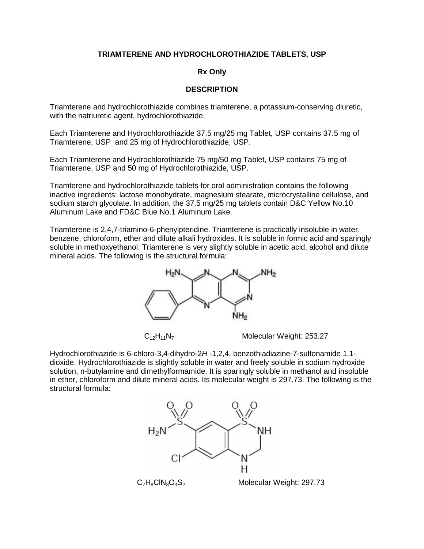## **TRIAMTERENE AND HYDROCHLOROTHIAZIDE TABLETS, USP**

# **Rx Only**

# **DESCRIPTION**

Triamterene and hydrochlorothiazide combines triamterene, a potassium-conserving diuretic, with the natriuretic agent, hydrochlorothiazide.

Each Triamterene and Hydrochlorothiazide 37.5 mg/25 mg Tablet, USP contains 37.5 mg of Triamterene, USP and 25 mg of Hydrochlorothiazide, USP.

Each Triamterene and Hydrochlorothiazide 75 mg/50 mg Tablet, USP contains 75 mg of Triamterene, USP and 50 mg of Hydrochlorothiazide, USP.

Triamterene and hydrochlorothiazide tablets for oral administration contains the following inactive ingredients: lactose monohydrate, magnesium stearate, microcrystalline cellulose, and sodium starch glycolate. In addition, the 37.5 mg/25 mg tablets contain D&C Yellow No.10 Aluminum Lake and FD&C Blue No.1 Aluminum Lake.

Triamterene is 2,4,7-triamino-6-phenylpteridine. Triamterene is practically insoluble in water, benzene, chloroform, ether and dilute alkali hydroxides. It is soluble in formic acid and sparingly soluble in methoxyethanol. Triamterene is very slightly soluble in acetic acid, alcohol and dilute mineral acids. The following is the structural formula:



C<sub>12</sub>H<sub>11</sub>N<sub>7</sub> Molecular Weight: 253.27

Hydrochlorothiazide is 6-chloro-3,4-dihydro-2*H* -1,2,4, benzothiadiazine-7-sulfonamide 1,1 dioxide. Hydrochlorothiazide is slightly soluble in water and freely soluble in sodium hydroxide solution, n-butylamine and dimethylformamide. It is sparingly soluble in methanol and insoluble in ether, chloroform and dilute mineral acids. Its molecular weight is 297.73. The following is the structural formula:

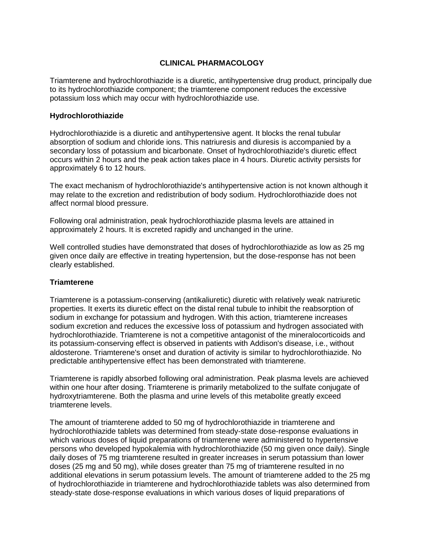# **CLINICAL PHARMACOLOGY**

Triamterene and hydrochlorothiazide is a diuretic, antihypertensive drug product, principally due to its hydrochlorothiazide component; the triamterene component reduces the excessive potassium loss which may occur with hydrochlorothiazide use.

#### **Hydrochlorothiazide**

Hydrochlorothiazide is a diuretic and antihypertensive agent. It blocks the renal tubular absorption of sodium and chloride ions. This natriuresis and diuresis is accompanied by a secondary loss of potassium and bicarbonate. Onset of hydrochlorothiazide's diuretic effect occurs within 2 hours and the peak action takes place in 4 hours. Diuretic activity persists for approximately 6 to 12 hours.

The exact mechanism of hydrochlorothiazide's antihypertensive action is not known although it may relate to the excretion and redistribution of body sodium. Hydrochlorothiazide does not affect normal blood pressure.

Following oral administration, peak hydrochlorothiazide plasma levels are attained in approximately 2 hours. It is excreted rapidly and unchanged in the urine.

Well controlled studies have demonstrated that doses of hydrochlorothiazide as low as 25 mg given once daily are effective in treating hypertension, but the dose-response has not been clearly established.

## **Triamterene**

Triamterene is a potassium-conserving (antikaliuretic) diuretic with relatively weak natriuretic properties. It exerts its diuretic effect on the distal renal tubule to inhibit the reabsorption of sodium in exchange for potassium and hydrogen. With this action, triamterene increases sodium excretion and reduces the excessive loss of potassium and hydrogen associated with hydrochlorothiazide. Triamterene is not a competitive antagonist of the mineralocorticoids and its potassium-conserving effect is observed in patients with Addison's disease, i.e., without aldosterone. Triamterene's onset and duration of activity is similar to hydrochlorothiazide. No predictable antihypertensive effect has been demonstrated with triamterene.

Triamterene is rapidly absorbed following oral administration. Peak plasma levels are achieved within one hour after dosing. Triamterene is primarily metabolized to the sulfate conjugate of hydroxytriamterene. Both the plasma and urine levels of this metabolite greatly exceed triamterene levels.

The amount of triamterene added to 50 mg of hydrochlorothiazide in triamterene and hydrochlorothiazide tablets was determined from steady-state dose-response evaluations in which various doses of liquid preparations of triamterene were administered to hypertensive persons who developed hypokalemia with hydrochlorothiazide (50 mg given once daily). Single daily doses of 75 mg triamterene resulted in greater increases in serum potassium than lower doses (25 mg and 50 mg), while doses greater than 75 mg of triamterene resulted in no additional elevations in serum potassium levels. The amount of triamterene added to the 25 mg of hydrochlorothiazide in triamterene and hydrochlorothiazide tablets was also determined from steady-state dose-response evaluations in which various doses of liquid preparations of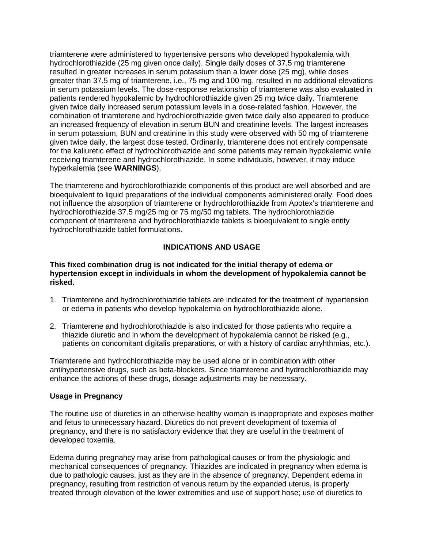triamterene were administered to hypertensive persons who developed hypokalemia with hydrochlorothiazide (25 mg given once daily). Single daily doses of 37.5 mg triamterene resulted in greater increases in serum potassium than a lower dose (25 mg), while doses greater than 37.5 mg of triamterene, i.e., 75 mg and 100 mg, resulted in no additional elevations in serum potassium levels. The dose-response relationship of triamterene was also evaluated in patients rendered hypokalemic by hydrochlorothiazide given 25 mg twice daily. Triamterene given twice daily increased serum potassium levels in a dose-related fashion. However, the combination of triamterene and hydrochlorothiazide given twice daily also appeared to produce an increased frequency of elevation in serum BUN and creatinine levels. The largest increases in serum potassium, BUN and creatinine in this study were observed with 50 mg of triamterene given twice daily, the largest dose tested. Ordinarily, triamterene does not entirely compensate for the kaliuretic effect of hydrochlorothiazide and some patients may remain hypokalemic while receiving triamterene and hydrochlorothiazide. In some individuals, however, it may induce hyperkalemia (see **WARNINGS**).

The triamterene and hydrochlorothiazide components of this product are well absorbed and are bioequivalent to liquid preparations of the individual components administered orally. Food does not influence the absorption of triamterene or hydrochlorothiazide from Apotex's triamterene and hydrochlorothiazide 37.5 mg/25 mg or 75 mg/50 mg tablets. The hydrochlorothiazide component of triamterene and hydrochlorothiazide tablets is bioequivalent to single entity hydrochlorothiazide tablet formulations.

# **INDICATIONS AND USAGE**

### **This fixed combination drug is not indicated for the initial therapy of edema or hypertension except in individuals in whom the development of hypokalemia cannot be risked.**

- 1. Triamterene and hydrochlorothiazide tablets are indicated for the treatment of hypertension or edema in patients who develop hypokalemia on hydrochlorothiazide alone.
- 2. Triamterene and hydrochlorothiazide is also indicated for those patients who require a thiazide diuretic and in whom the development of hypokalemia cannot be risked (e.g., patients on concomitant digitalis preparations, or with a history of cardiac arryhthmias, etc.).

Triamterene and hydrochlorothiazide may be used alone or in combination with other antihypertensive drugs, such as beta-blockers. Since triamterene and hydrochlorothiazide may enhance the actions of these drugs, dosage adjustments may be necessary.

#### **Usage in Pregnancy**

The routine use of diuretics in an otherwise healthy woman is inappropriate and exposes mother and fetus to unnecessary hazard. Diuretics do not prevent development of toxemia of pregnancy, and there is no satisfactory evidence that they are useful in the treatment of developed toxemia.

Edema during pregnancy may arise from pathological causes or from the physiologic and mechanical consequences of pregnancy. Thiazides are indicated in pregnancy when edema is due to pathologic causes, just as they are in the absence of pregnancy. Dependent edema in pregnancy, resulting from restriction of venous return by the expanded uterus, is properly treated through elevation of the lower extremities and use of support hose; use of diuretics to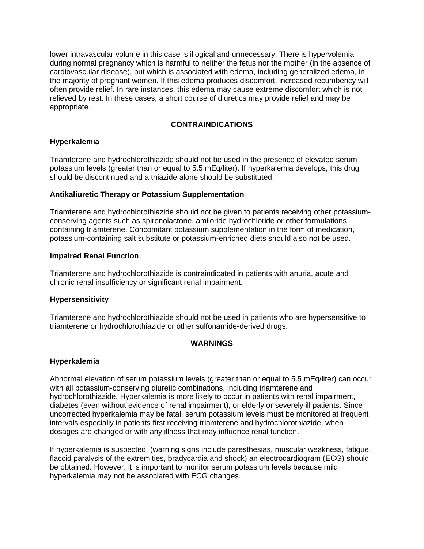lower intravascular volume in this case is illogical and unnecessary. There is hypervolemia during normal pregnancy which is harmful to neither the fetus nor the mother (in the absence of cardiovascular disease), but which is associated with edema, including generalized edema, in the majority of pregnant women. If this edema produces discomfort, increased recumbency will often provide relief. In rare instances, this edema may cause extreme discomfort which is not relieved by rest. In these cases, a short course of diuretics may provide relief and may be appropriate.

# **CONTRAINDICATIONS**

## **Hyperkalemia**

Triamterene and hydrochlorothiazide should not be used in the presence of elevated serum potassium levels (greater than or equal to 5.5 mEq/liter). If hyperkalemia develops, this drug should be discontinued and a thiazide alone should be substituted.

## **Antikaliuretic Therapy or Potassium Supplementation**

Triamterene and hydrochlorothiazide should not be given to patients receiving other potassiumconserving agents such as spironolactone, amiloride hydrochloride or other formulations containing triamterene. Concomitant potassium supplementation in the form of medication, potassium-containing salt substitute or potassium-enriched diets should also not be used.

### **Impaired Renal Function**

Triamterene and hydrochlorothiazide is contraindicated in patients with anuria, acute and chronic renal insufficiency or significant renal impairment.

## **Hypersensitivity**

Triamterene and hydrochlorothiazide should not be used in patients who are hypersensitive to triamterene or hydrochlorothiazide or other sulfonamide-derived drugs.

## **WARNINGS**

#### **Hyperkalemia**

Abnormal elevation of serum potassium levels (greater than or equal to 5.5 mEq/liter) can occur with all potassium-conserving diuretic combinations, including triamterene and hydrochlorothiazide. Hyperkalemia is more likely to occur in patients with renal impairment, diabetes (even without evidence of renal impairment), or elderly or severely ill patients. Since uncorrected hyperkalemia may be fatal, serum potassium levels must be monitored at frequent intervals especially in patients first receiving triamterene and hydrochlorothiazide, when dosages are changed or with any illness that may influence renal function.

If hyperkalemia is suspected, (warning signs include paresthesias, muscular weakness, fatigue, flaccid paralysis of the extremities, bradycardia and shock) an electrocardiogram (ECG) should be obtained. However, it is important to monitor serum potassium levels because mild hyperkalemia may not be associated with ECG changes.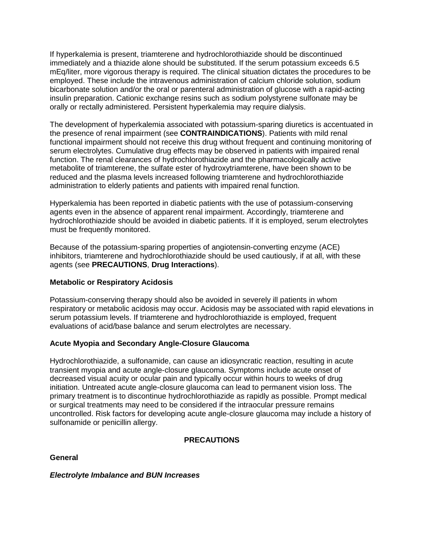If hyperkalemia is present, triamterene and hydrochlorothiazide should be discontinued immediately and a thiazide alone should be substituted. If the serum potassium exceeds 6.5 mEq/liter, more vigorous therapy is required. The clinical situation dictates the procedures to be employed. These include the intravenous administration of calcium chloride solution, sodium bicarbonate solution and/or the oral or parenteral administration of glucose with a rapid-acting insulin preparation. Cationic exchange resins such as sodium polystyrene sulfonate may be orally or rectally administered. Persistent hyperkalemia may require dialysis.

The development of hyperkalemia associated with potassium-sparing diuretics is accentuated in the presence of renal impairment (see **CONTRAINDICATIONS**). Patients with mild renal functional impairment should not receive this drug without frequent and continuing monitoring of serum electrolytes. Cumulative drug effects may be observed in patients with impaired renal function. The renal clearances of hydrochlorothiazide and the pharmacologically active metabolite of triamterene, the sulfate ester of hydroxytriamterene, have been shown to be reduced and the plasma levels increased following triamterene and hydrochlorothiazide administration to elderly patients and patients with impaired renal function.

Hyperkalemia has been reported in diabetic patients with the use of potassium-conserving agents even in the absence of apparent renal impairment. Accordingly, triamterene and hydrochlorothiazide should be avoided in diabetic patients. If it is employed, serum electrolytes must be frequently monitored.

Because of the potassium-sparing properties of angiotensin-converting enzyme (ACE) inhibitors, triamterene and hydrochlorothiazide should be used cautiously, if at all, with these agents (see **PRECAUTIONS**, **Drug Interactions**).

## **Metabolic or Respiratory Acidosis**

Potassium-conserving therapy should also be avoided in severely ill patients in whom respiratory or metabolic acidosis may occur. Acidosis may be associated with rapid elevations in serum potassium levels. If triamterene and hydrochlorothiazide is employed, frequent evaluations of acid/base balance and serum electrolytes are necessary.

## **Acute Myopia and Secondary Angle-Closure Glaucoma**

Hydrochlorothiazide, a sulfonamide, can cause an idiosyncratic reaction, resulting in acute transient myopia and acute angle-closure glaucoma. Symptoms include acute onset of decreased visual acuity or ocular pain and typically occur within hours to weeks of drug initiation. Untreated acute angle-closure glaucoma can lead to permanent vision loss. The primary treatment is to discontinue hydrochlorothiazide as rapidly as possible. Prompt medical or surgical treatments may need to be considered if the intraocular pressure remains uncontrolled. Risk factors for developing acute angle-closure glaucoma may include a history of sulfonamide or penicillin allergy.

## **PRECAUTIONS**

**General**

## *Electrolyte Imbalance and BUN Increases*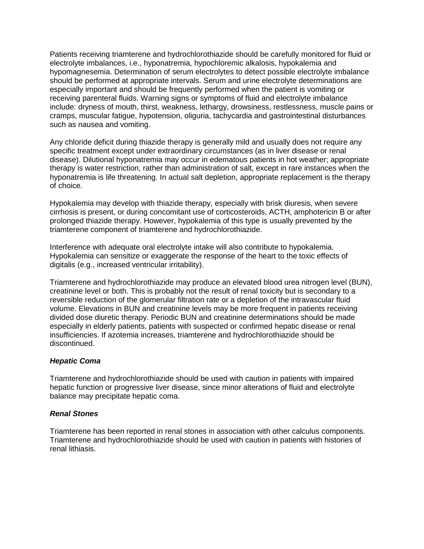Patients receiving triamterene and hydrochlorothiazide should be carefully monitored for fluid or electrolyte imbalances, i.e., hyponatremia, hypochloremic alkalosis, hypokalemia and hypomagnesemia. Determination of serum electrolytes to detect possible electrolyte imbalance should be performed at appropriate intervals. Serum and urine electrolyte determinations are especially important and should be frequently performed when the patient is vomiting or receiving parenteral fluids. Warning signs or symptoms of fluid and electrolyte imbalance include: dryness of mouth, thirst, weakness, lethargy, drowsiness, restlessness, muscle pains or cramps, muscular fatigue, hypotension, oliguria, tachycardia and gastrointestinal disturbances such as nausea and vomiting.

Any chloride deficit during thiazide therapy is generally mild and usually does not require any specific treatment except under extraordinary circumstances (as in liver disease or renal disease). Dilutional hyponatremia may occur in edematous patients in hot weather; appropriate therapy is water restriction, rather than administration of salt, except in rare instances when the hyponatremia is life threatening. In actual salt depletion, appropriate replacement is the therapy of choice.

Hypokalemia may develop with thiazide therapy, especially with brisk diuresis, when severe cirrhosis is present, or during concomitant use of corticosteroids, ACTH, amphotericin B or after prolonged thiazide therapy. However, hypokalemia of this type is usually prevented by the triamterene component of triamterene and hydrochlorothiazide.

Interference with adequate oral electrolyte intake will also contribute to hypokalemia. Hypokalemia can sensitize or exaggerate the response of the heart to the toxic effects of digitalis (e.g., increased ventricular irritability).

Triamterene and hydrochlorothiazide may produce an elevated blood urea nitrogen level (BUN), creatinine level or both. This is probably not the result of renal toxicity but is secondary to a reversible reduction of the glomerular filtration rate or a depletion of the intravascular fluid volume. Elevations in BUN and creatinine levels may be more frequent in patients receiving divided dose diuretic therapy. Periodic BUN and creatinine determinations should be made especially in elderly patients, patients with suspected or confirmed hepatic disease or renal insufficiencies. If azotemia increases, triamterene and hydrochlorothiazide should be discontinued.

## *Hepatic Coma*

Triamterene and hydrochlorothiazide should be used with caution in patients with impaired hepatic function or progressive liver disease, since minor alterations of fluid and electrolyte balance may precipitate hepatic coma.

#### *Renal Stones*

Triamterene has been reported in renal stones in association with other calculus components. Triamterene and hydrochlorothiazide should be used with caution in patients with histories of renal lithiasis.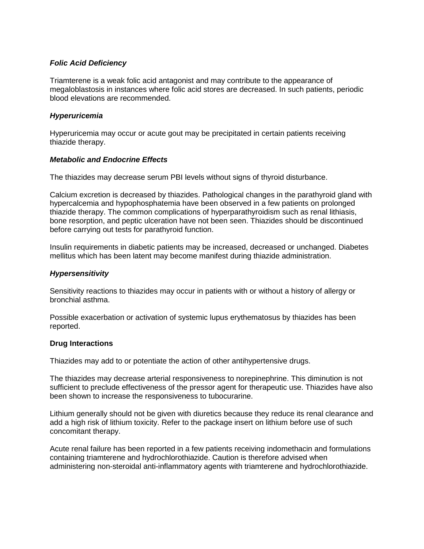### *Folic Acid Deficiency*

Triamterene is a weak folic acid antagonist and may contribute to the appearance of megaloblastosis in instances where folic acid stores are decreased. In such patients, periodic blood elevations are recommended.

### *Hyperuricemia*

Hyperuricemia may occur or acute gout may be precipitated in certain patients receiving thiazide therapy.

### *Metabolic and Endocrine Effects*

The thiazides may decrease serum PBI levels without signs of thyroid disturbance.

Calcium excretion is decreased by thiazides. Pathological changes in the parathyroid gland with hypercalcemia and hypophosphatemia have been observed in a few patients on prolonged thiazide therapy. The common complications of hyperparathyroidism such as renal lithiasis, bone resorption, and peptic ulceration have not been seen. Thiazides should be discontinued before carrying out tests for parathyroid function.

Insulin requirements in diabetic patients may be increased, decreased or unchanged. Diabetes mellitus which has been latent may become manifest during thiazide administration.

#### *Hypersensitivity*

Sensitivity reactions to thiazides may occur in patients with or without a history of allergy or bronchial asthma.

Possible exacerbation or activation of systemic lupus erythematosus by thiazides has been reported.

#### **Drug Interactions**

Thiazides may add to or potentiate the action of other antihypertensive drugs.

The thiazides may decrease arterial responsiveness to norepinephrine. This diminution is not sufficient to preclude effectiveness of the pressor agent for therapeutic use. Thiazides have also been shown to increase the responsiveness to tubocurarine.

Lithium generally should not be given with diuretics because they reduce its renal clearance and add a high risk of lithium toxicity. Refer to the package insert on lithium before use of such concomitant therapy.

Acute renal failure has been reported in a few patients receiving indomethacin and formulations containing triamterene and hydrochlorothiazide. Caution is therefore advised when administering non-steroidal anti-inflammatory agents with triamterene and hydrochlorothiazide.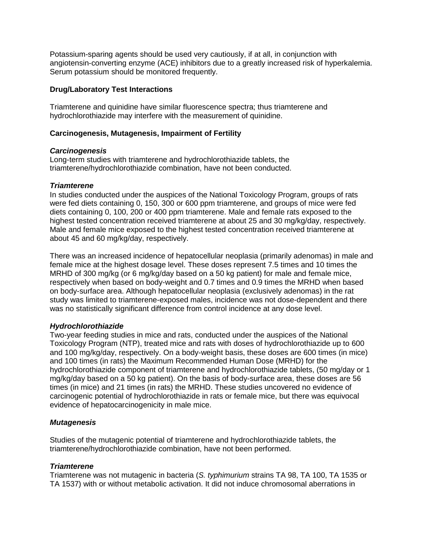Potassium-sparing agents should be used very cautiously, if at all, in conjunction with angiotensin-converting enzyme (ACE) inhibitors due to a greatly increased risk of hyperkalemia. Serum potassium should be monitored frequently.

### **Drug/Laboratory Test Interactions**

Triamterene and quinidine have similar fluorescence spectra; thus triamterene and hydrochlorothiazide may interfere with the measurement of quinidine.

### **Carcinogenesis, Mutagenesis, Impairment of Fertility**

#### *Carcinogenesis*

Long-term studies with triamterene and hydrochlorothiazide tablets, the triamterene/hydrochlorothiazide combination, have not been conducted.

### *Triamterene*

In studies conducted under the auspices of the National Toxicology Program, groups of rats were fed diets containing 0, 150, 300 or 600 ppm triamterene, and groups of mice were fed diets containing 0, 100, 200 or 400 ppm triamterene. Male and female rats exposed to the highest tested concentration received triamterene at about 25 and 30 mg/kg/day, respectively. Male and female mice exposed to the highest tested concentration received triamterene at about 45 and 60 mg/kg/day, respectively.

There was an increased incidence of hepatocellular neoplasia (primarily adenomas) in male and female mice at the highest dosage level. These doses represent 7.5 times and 10 times the MRHD of 300 mg/kg (or 6 mg/kg/day based on a 50 kg patient) for male and female mice, respectively when based on body-weight and 0.7 times and 0.9 times the MRHD when based on body-surface area. Although hepatocellular neoplasia (exclusively adenomas) in the rat study was limited to triamterene-exposed males, incidence was not dose-dependent and there was no statistically significant difference from control incidence at any dose level.

## *Hydrochlorothiazide*

Two-year feeding studies in mice and rats, conducted under the auspices of the National Toxicology Program (NTP), treated mice and rats with doses of hydrochlorothiazide up to 600 and 100 mg/kg/day, respectively. On a body-weight basis, these doses are 600 times (in mice) and 100 times (in rats) the Maximum Recommended Human Dose (MRHD) for the hydrochlorothiazide component of triamterene and hydrochlorothiazide tablets, (50 mg/day or 1 mg/kg/day based on a 50 kg patient). On the basis of body-surface area, these doses are 56 times (in mice) and 21 times (in rats) the MRHD. These studies uncovered no evidence of carcinogenic potential of hydrochlorothiazide in rats or female mice, but there was equivocal evidence of hepatocarcinogenicity in male mice.

## *Mutagenesis*

Studies of the mutagenic potential of triamterene and hydrochlorothiazide tablets, the triamterene/hydrochlorothiazide combination, have not been performed.

## *Triamterene*

Triamterene was not mutagenic in bacteria (*S. typhimurium* strains TA 98, TA 100, TA 1535 or TA 1537) with or without metabolic activation. It did not induce chromosomal aberrations in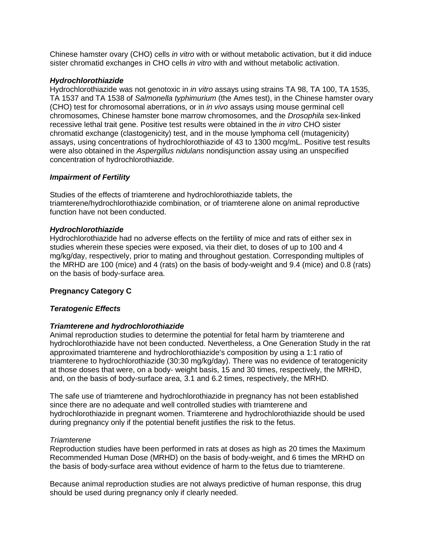Chinese hamster ovary (CHO) cells *in vitro* with or without metabolic activation, but it did induce sister chromatid exchanges in CHO cells *in vitro* with and without metabolic activation.

#### *Hydrochlorothiazide*

Hydrochlorothiazide was not genotoxic in *in vitro* assays using strains TA 98, TA 100, TA 1535, TA 1537 and TA 1538 of *Salmonella typhimurium* (the Ames test), in the Chinese hamster ovary (CHO) test for chromosomal aberrations, or in *in vivo* assays using mouse germinal cell chromosomes, Chinese hamster bone marrow chromosomes, and the *Drosophila* sex-linked recessive lethal trait gene. Positive test results were obtained in the *in vitro* CHO sister chromatid exchange (clastogenicity) test, and in the mouse lymphoma cell (mutagenicity) assays, using concentrations of hydrochlorothiazide of 43 to 1300 mcg/mL. Positive test results were also obtained in the *Aspergillus nidulans* nondisjunction assay using an unspecified concentration of hydrochlorothiazide.

### *Impairment of Fertility*

Studies of the effects of triamterene and hydrochlorothiazide tablets, the triamterene/hydrochlorothiazide combination, or of triamterene alone on animal reproductive function have not been conducted.

### *Hydrochlorothiazide*

Hydrochlorothiazide had no adverse effects on the fertility of mice and rats of either sex in studies wherein these species were exposed, via their diet, to doses of up to 100 and 4 mg/kg/day, respectively, prior to mating and throughout gestation. Corresponding multiples of the MRHD are 100 (mice) and 4 (rats) on the basis of body-weight and 9.4 (mice) and 0.8 (rats) on the basis of body-surface area.

## **Pregnancy Category C**

#### *Teratogenic Effects*

## *Triamterene and hydrochlorothiazide*

Animal reproduction studies to determine the potential for fetal harm by triamterene and hydrochlorothiazide have not been conducted. Nevertheless, a One Generation Study in the rat approximated triamterene and hydrochlorothiazide's composition by using a 1:1 ratio of triamterene to hydrochlorothiazide (30:30 mg/kg/day). There was no evidence of teratogenicity at those doses that were, on a body- weight basis, 15 and 30 times, respectively, the MRHD, and, on the basis of body-surface area, 3.1 and 6.2 times, respectively, the MRHD.

The safe use of triamterene and hydrochlorothiazide in pregnancy has not been established since there are no adequate and well controlled studies with triamterene and hydrochlorothiazide in pregnant women. Triamterene and hydrochlorothiazide should be used during pregnancy only if the potential benefit justifies the risk to the fetus.

#### *Triamterene*

Reproduction studies have been performed in rats at doses as high as 20 times the Maximum Recommended Human Dose (MRHD) on the basis of body-weight, and 6 times the MRHD on the basis of body-surface area without evidence of harm to the fetus due to triamterene.

Because animal reproduction studies are not always predictive of human response, this drug should be used during pregnancy only if clearly needed.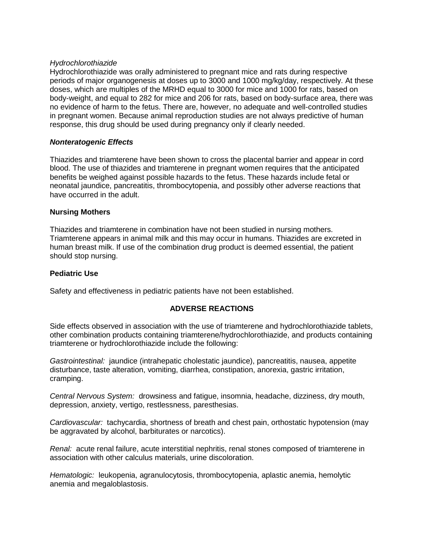#### *Hydrochlorothiazide*

Hydrochlorothiazide was orally administered to pregnant mice and rats during respective periods of major organogenesis at doses up to 3000 and 1000 mg/kg/day, respectively. At these doses, which are multiples of the MRHD equal to 3000 for mice and 1000 for rats, based on body-weight, and equal to 282 for mice and 206 for rats, based on body-surface area, there was no evidence of harm to the fetus. There are, however, no adequate and well-controlled studies in pregnant women. Because animal reproduction studies are not always predictive of human response, this drug should be used during pregnancy only if clearly needed.

### *Nonteratogenic Effects*

Thiazides and triamterene have been shown to cross the placental barrier and appear in cord blood. The use of thiazides and triamterene in pregnant women requires that the anticipated benefits be weighed against possible hazards to the fetus. These hazards include fetal or neonatal jaundice, pancreatitis, thrombocytopenia, and possibly other adverse reactions that have occurred in the adult.

### **Nursing Mothers**

Thiazides and triamterene in combination have not been studied in nursing mothers. Triamterene appears in animal milk and this may occur in humans. Thiazides are excreted in human breast milk. If use of the combination drug product is deemed essential, the patient should stop nursing.

### **Pediatric Use**

Safety and effectiveness in pediatric patients have not been established.

## **ADVERSE REACTIONS**

Side effects observed in association with the use of triamterene and hydrochlorothiazide tablets, other combination products containing triamterene/hydrochlorothiazide, and products containing triamterene or hydrochlorothiazide include the following:

*Gastrointestinal:* jaundice (intrahepatic cholestatic jaundice), pancreatitis, nausea, appetite disturbance, taste alteration, vomiting, diarrhea, constipation, anorexia, gastric irritation, cramping.

*Central Nervous System:* drowsiness and fatigue, insomnia, headache, dizziness, dry mouth, depression, anxiety, vertigo, restlessness, paresthesias.

*Cardiovascular:* tachycardia, shortness of breath and chest pain, orthostatic hypotension (may be aggravated by alcohol, barbiturates or narcotics).

*Renal:* acute renal failure, acute interstitial nephritis, renal stones composed of triamterene in association with other calculus materials, urine discoloration.

*Hematologic:* leukopenia, agranulocytosis, thrombocytopenia, aplastic anemia, hemolytic anemia and megaloblastosis.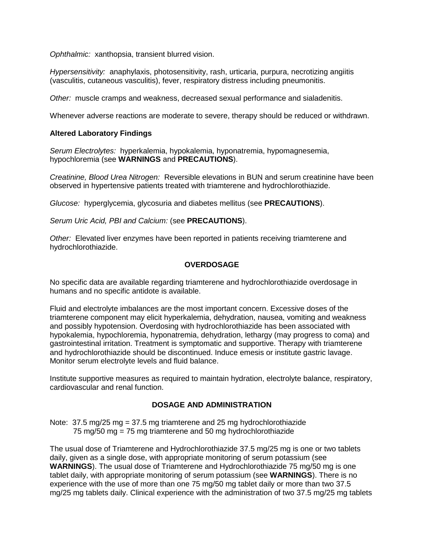*Ophthalmic:* xanthopsia, transient blurred vision.

*Hypersensitivity:* anaphylaxis, photosensitivity, rash, urticaria, purpura, necrotizing angiitis (vasculitis, cutaneous vasculitis), fever, respiratory distress including pneumonitis.

*Other:* muscle cramps and weakness, decreased sexual performance and sialadenitis.

Whenever adverse reactions are moderate to severe, therapy should be reduced or withdrawn.

## **Altered Laboratory Findings**

*Serum Electrolytes:* hyperkalemia, hypokalemia, hyponatremia, hypomagnesemia, hypochloremia (see **WARNINGS** and **PRECAUTIONS**).

*Creatinine, Blood Urea Nitrogen:* Reversible elevations in BUN and serum creatinine have been observed in hypertensive patients treated with triamterene and hydrochlorothiazide.

*Glucose:* hyperglycemia, glycosuria and diabetes mellitus (see **PRECAUTIONS**).

*Serum Uric Acid, PBI and Calcium:* (see **PRECAUTIONS**).

*Other:* Elevated liver enzymes have been reported in patients receiving triamterene and hydrochlorothiazide.

## **OVERDOSAGE**

No specific data are available regarding triamterene and hydrochlorothiazide overdosage in humans and no specific antidote is available.

Fluid and electrolyte imbalances are the most important concern. Excessive doses of the triamterene component may elicit hyperkalemia, dehydration, nausea, vomiting and weakness and possibly hypotension. Overdosing with hydrochlorothiazide has been associated with hypokalemia, hypochloremia, hyponatremia, dehydration, lethargy (may progress to coma) and gastrointestinal irritation. Treatment is symptomatic and supportive. Therapy with triamterene and hydrochlorothiazide should be discontinued. Induce emesis or institute gastric lavage. Monitor serum electrolyte levels and fluid balance.

Institute supportive measures as required to maintain hydration, electrolyte balance, respiratory, cardiovascular and renal function.

## **DOSAGE AND ADMINISTRATION**

Note: 37.5 mg/25 mg = 37.5 mg triamterene and 25 mg hydrochlorothiazide 75 mg/50 mg = 75 mg triamterene and 50 mg hydrochlorothiazide

The usual dose of Triamterene and Hydrochlorothiazide 37.5 mg/25 mg is one or two tablets daily, given as a single dose, with appropriate monitoring of serum potassium (see **WARNINGS**). The usual dose of Triamterene and Hydrochlorothiazide 75 mg/50 mg is one tablet daily, with appropriate monitoring of serum potassium (see **WARNINGS**). There is no experience with the use of more than one 75 mg/50 mg tablet daily or more than two 37.5 mg/25 mg tablets daily. Clinical experience with the administration of two 37.5 mg/25 mg tablets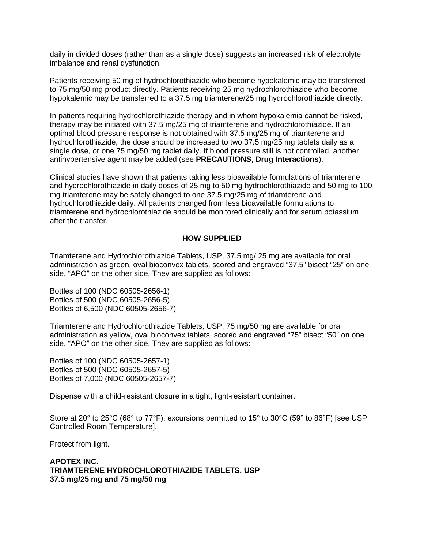daily in divided doses (rather than as a single dose) suggests an increased risk of electrolyte imbalance and renal dysfunction.

Patients receiving 50 mg of hydrochlorothiazide who become hypokalemic may be transferred to 75 mg/50 mg product directly. Patients receiving 25 mg hydrochlorothiazide who become hypokalemic may be transferred to a 37.5 mg triamterene/25 mg hydrochlorothiazide directly.

In patients requiring hydrochlorothiazide therapy and in whom hypokalemia cannot be risked, therapy may be initiated with 37.5 mg/25 mg of triamterene and hydrochlorothiazide. If an optimal blood pressure response is not obtained with 37.5 mg/25 mg of triamterene and hydrochlorothiazide, the dose should be increased to two 37.5 mg/25 mg tablets daily as a single dose, or one 75 mg/50 mg tablet daily. If blood pressure still is not controlled, another antihypertensive agent may be added (see **PRECAUTIONS**, **Drug Interactions**).

Clinical studies have shown that patients taking less bioavailable formulations of triamterene and hydrochlorothiazide in daily doses of 25 mg to 50 mg hydrochlorothiazide and 50 mg to 100 mg triamterene may be safely changed to one 37.5 mg/25 mg of triamterene and hydrochlorothiazide daily. All patients changed from less bioavailable formulations to triamterene and hydrochlorothiazide should be monitored clinically and for serum potassium after the transfer.

#### **HOW SUPPLIED**

Triamterene and Hydrochlorothiazide Tablets, USP, 37.5 mg/ 25 mg are available for oral administration as green, oval bioconvex tablets, scored and engraved "37.5" bisect "25" on one side, "APO" on the other side. They are supplied as follows:

Bottles of 100 (NDC 60505-2656-1) Bottles of 500 (NDC 60505-2656-5) Bottles of 6,500 (NDC 60505-2656-7)

Triamterene and Hydrochlorothiazide Tablets, USP, 75 mg/50 mg are available for oral administration as yellow, oval bioconvex tablets, scored and engraved "75" bisect "50" on one side, "APO" on the other side. They are supplied as follows:

Bottles of 100 (NDC 60505-2657-1) Bottles of 500 (NDC 60505-2657-5) Bottles of 7,000 (NDC 60505-2657-7)

Dispense with a child-resistant closure in a tight, light-resistant container.

Store at 20° to 25°C (68° to 77°F); excursions permitted to 15° to 30°C (59° to 86°F) [see USP Controlled Room Temperature].

Protect from light.

**APOTEX INC. TRIAMTERENE HYDROCHLOROTHIAZIDE TABLETS, USP 37.5 mg/25 mg and 75 mg/50 mg**